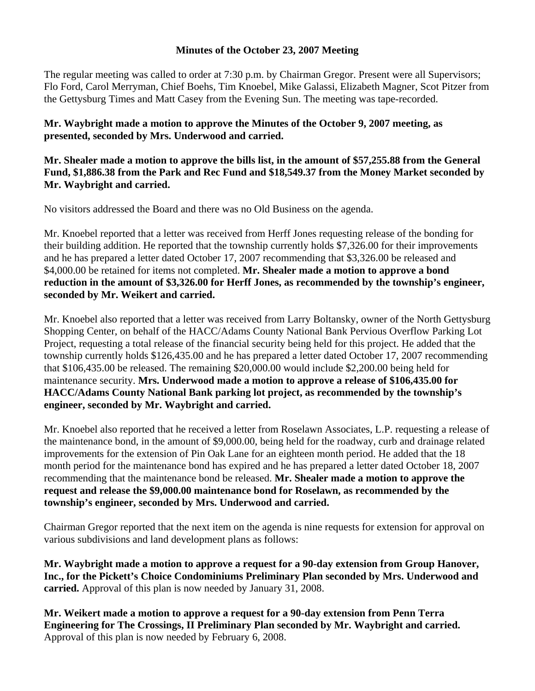## **Minutes of the October 23, 2007 Meeting**

The regular meeting was called to order at 7:30 p.m. by Chairman Gregor. Present were all Supervisors; Flo Ford, Carol Merryman, Chief Boehs, Tim Knoebel, Mike Galassi, Elizabeth Magner, Scot Pitzer from the Gettysburg Times and Matt Casey from the Evening Sun. The meeting was tape-recorded.

**Mr. Waybright made a motion to approve the Minutes of the October 9, 2007 meeting, as presented, seconded by Mrs. Underwood and carried.** 

**Mr. Shealer made a motion to approve the bills list, in the amount of \$57,255.88 from the General Fund, \$1,886.38 from the Park and Rec Fund and \$18,549.37 from the Money Market seconded by Mr. Waybright and carried.** 

No visitors addressed the Board and there was no Old Business on the agenda.

Mr. Knoebel reported that a letter was received from Herff Jones requesting release of the bonding for their building addition. He reported that the township currently holds \$7,326.00 for their improvements and he has prepared a letter dated October 17, 2007 recommending that \$3,326.00 be released and \$4,000.00 be retained for items not completed. **Mr. Shealer made a motion to approve a bond reduction in the amount of \$3,326.00 for Herff Jones, as recommended by the township's engineer, seconded by Mr. Weikert and carried.** 

Mr. Knoebel also reported that a letter was received from Larry Boltansky, owner of the North Gettysburg Shopping Center, on behalf of the HACC/Adams County National Bank Pervious Overflow Parking Lot Project, requesting a total release of the financial security being held for this project. He added that the township currently holds \$126,435.00 and he has prepared a letter dated October 17, 2007 recommending that \$106,435.00 be released. The remaining \$20,000.00 would include \$2,200.00 being held for maintenance security. **Mrs. Underwood made a motion to approve a release of \$106,435.00 for HACC/Adams County National Bank parking lot project, as recommended by the township's engineer, seconded by Mr. Waybright and carried.** 

Mr. Knoebel also reported that he received a letter from Roselawn Associates, L.P. requesting a release of the maintenance bond, in the amount of \$9,000.00, being held for the roadway, curb and drainage related improvements for the extension of Pin Oak Lane for an eighteen month period. He added that the 18 month period for the maintenance bond has expired and he has prepared a letter dated October 18, 2007 recommending that the maintenance bond be released. **Mr. Shealer made a motion to approve the request and release the \$9,000.00 maintenance bond for Roselawn, as recommended by the township's engineer, seconded by Mrs. Underwood and carried.** 

Chairman Gregor reported that the next item on the agenda is nine requests for extension for approval on various subdivisions and land development plans as follows:

**Mr. Waybright made a motion to approve a request for a 90-day extension from Group Hanover, Inc., for the Pickett's Choice Condominiums Preliminary Plan seconded by Mrs. Underwood and carried.** Approval of this plan is now needed by January 31, 2008.

**Mr. Weikert made a motion to approve a request for a 90-day extension from Penn Terra Engineering for The Crossings, II Preliminary Plan seconded by Mr. Waybright and carried.**  Approval of this plan is now needed by February 6, 2008.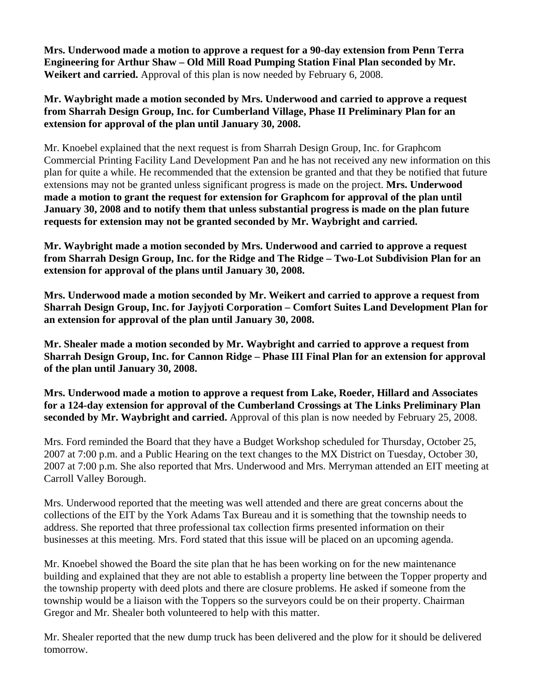**Mrs. Underwood made a motion to approve a request for a 90-day extension from Penn Terra Engineering for Arthur Shaw – Old Mill Road Pumping Station Final Plan seconded by Mr. Weikert and carried.** Approval of this plan is now needed by February 6, 2008.

**Mr. Waybright made a motion seconded by Mrs. Underwood and carried to approve a request from Sharrah Design Group, Inc. for Cumberland Village, Phase II Preliminary Plan for an extension for approval of the plan until January 30, 2008.** 

Mr. Knoebel explained that the next request is from Sharrah Design Group, Inc. for Graphcom Commercial Printing Facility Land Development Pan and he has not received any new information on this plan for quite a while. He recommended that the extension be granted and that they be notified that future extensions may not be granted unless significant progress is made on the project. **Mrs. Underwood made a motion to grant the request for extension for Graphcom for approval of the plan until January 30, 2008 and to notify them that unless substantial progress is made on the plan future requests for extension may not be granted seconded by Mr. Waybright and carried.** 

**Mr. Waybright made a motion seconded by Mrs. Underwood and carried to approve a request from Sharrah Design Group, Inc. for the Ridge and The Ridge – Two-Lot Subdivision Plan for an extension for approval of the plans until January 30, 2008.** 

**Mrs. Underwood made a motion seconded by Mr. Weikert and carried to approve a request from Sharrah Design Group, Inc. for Jayjyoti Corporation – Comfort Suites Land Development Plan for an extension for approval of the plan until January 30, 2008.** 

**Mr. Shealer made a motion seconded by Mr. Waybright and carried to approve a request from Sharrah Design Group, Inc. for Cannon Ridge – Phase III Final Plan for an extension for approval of the plan until January 30, 2008.** 

**Mrs. Underwood made a motion to approve a request from Lake, Roeder, Hillard and Associates for a 124-day extension for approval of the Cumberland Crossings at The Links Preliminary Plan seconded by Mr. Waybright and carried.** Approval of this plan is now needed by February 25, 2008.

Mrs. Ford reminded the Board that they have a Budget Workshop scheduled for Thursday, October 25, 2007 at 7:00 p.m. and a Public Hearing on the text changes to the MX District on Tuesday, October 30, 2007 at 7:00 p.m. She also reported that Mrs. Underwood and Mrs. Merryman attended an EIT meeting at Carroll Valley Borough.

Mrs. Underwood reported that the meeting was well attended and there are great concerns about the collections of the EIT by the York Adams Tax Bureau and it is something that the township needs to address. She reported that three professional tax collection firms presented information on their businesses at this meeting. Mrs. Ford stated that this issue will be placed on an upcoming agenda.

Mr. Knoebel showed the Board the site plan that he has been working on for the new maintenance building and explained that they are not able to establish a property line between the Topper property and the township property with deed plots and there are closure problems. He asked if someone from the township would be a liaison with the Toppers so the surveyors could be on their property. Chairman Gregor and Mr. Shealer both volunteered to help with this matter.

Mr. Shealer reported that the new dump truck has been delivered and the plow for it should be delivered tomorrow.